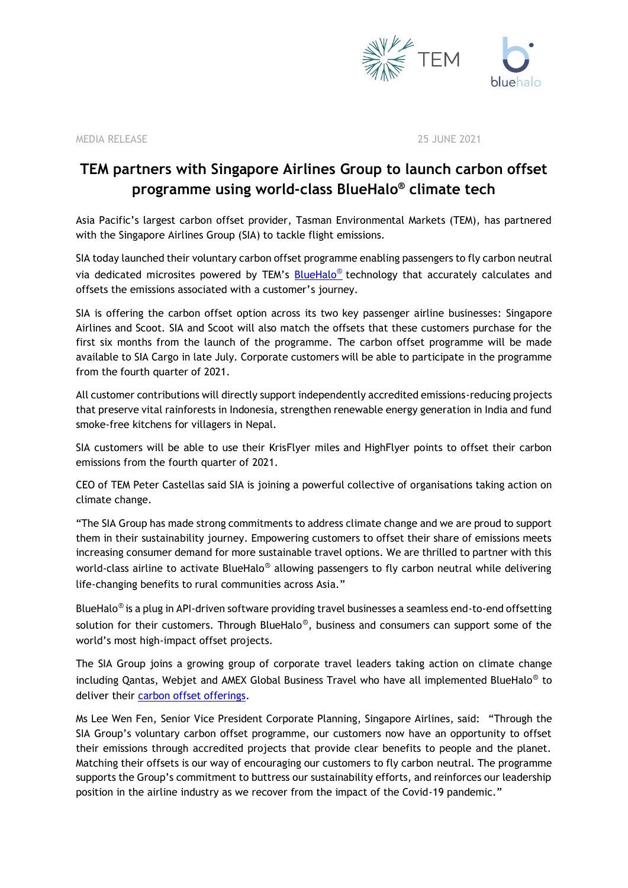

MEDIA RELEASE 25 JUNE 2021

## **TEM partners with Singapore Airlines Group to launch carbon offset programme using world-class BlueHalo ® climate tech**

Asia Pacific's largest carbon offset provider, Tasman Environmental Markets (TEM), has partnered with the Singapore Airlines Group (SIA) to tackle flight emissions.

SIA today launched their voluntary carbon offset programme enabling passengers to fly carbon neutral via dedicated microsites powered by TEM's [BlueHalo](https://www.tasmanenvironmental.com.au/carbon-footprint-calculator-blue-halo-journey/)<sup>®</sup> technology that accurately calculates and offsets the emissions associated with a customer's journey.

SIA is offering the carbon offset option across its two key passenger airline businesses: Singapore Airlines and Scoot. SIA and Scoot will also match the offsets that these customers purchase for the first six months from the launch of the programme. The carbon offset programme will be made available to SIA Cargo in late July. Corporate customers will be able to participate in the programme from the fourth quarter of 2021.

All customer contributions will directly support independently accredited emissions-reducing projects that preserve vital rainforests in Indonesia, strengthen renewable energy generation in India and fund smoke-free kitchens for villagers in Nepal.

SIA customers will be able to use their KrisFlyer miles and HighFlyer points to offset their carbon emissions from the fourth quarter of 2021.

CEO of TEM Peter Castellas said SIA is joining a powerful collective of organisations taking action on climate change.

"The SIA Group has made strong commitments to address climate change and we are proud to support them in their sustainability journey. Empowering customers to offset their share of emissions meets increasing consumer demand for more sustainable travel options. We are thrilled to partner with this world-class airline to activate BlueHalo® allowing passengers to fly carbon neutral while delivering life-changing benefits to rural communities across Asia."

BlueHalo<sup>®</sup> is a plug in API-driven software providing travel businesses a seamless end-to-end offsetting solution for their customers. Through BlueHalo<sup>®</sup>, business and consumers can support some of the world's most high-impact offset projects.

The SIA Group joins a growing group of corporate travel leaders taking action on climate change including Qantas, Webjet and AMEX Global Business Travel who have all implemented BlueHalo<sup>®</sup> to deliver their [carbon offset offerings.](https://www.tasmanenvironmental.com.au/carbon-offsets/)

Ms Lee Wen Fen, Senior Vice President Corporate Planning, Singapore Airlines, said: "Through the SIA Group's voluntary carbon offset programme, our customers now have an opportunity to offset their emissions through accredited projects that provide clear benefits to people and the planet. Matching their offsets is our way of encouraging our customers to fly carbon neutral. The programme supports the Group's commitment to buttress our sustainability efforts, and reinforces our leadership position in the airline industry as we recover from the impact of the Covid-19 pandemic."